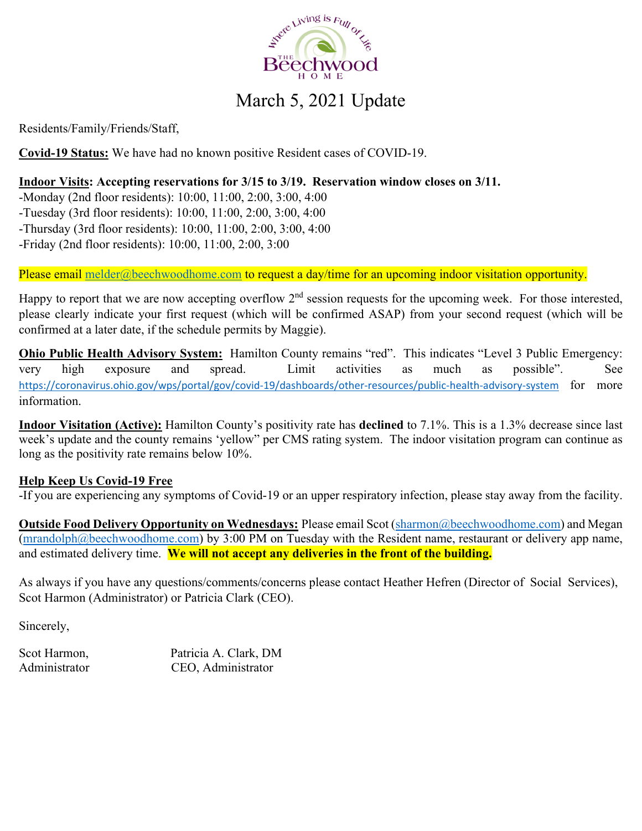

# March 5, 2021 Update

Residents/Family/Friends/Staff,

**Covid-19 Status:** We have had no known positive Resident cases of COVID-19.

## **Indoor Visits: Accepting reservations for 3/15 to 3/19. Reservation window closes on 3/11.**

-Monday (2nd floor residents): 10:00, 11:00, 2:00, 3:00, 4:00

-Tuesday (3rd floor residents): 10:00, 11:00, 2:00, 3:00, 4:00

-Thursday (3rd floor residents): 10:00, 11:00, 2:00, 3:00, 4:00

-Friday (2nd floor residents): 10:00, 11:00, 2:00, 3:00

Please email melder@beechwoodhome.com to request a day/time for an upcoming indoor visitation opportunity.

Happy to report that we are now accepting overflow  $2<sup>nd</sup>$  session requests for the upcoming week. For those interested, please clearly indicate your first request (which will be confirmed ASAP) from your second request (which will be confirmed at a later date, if the schedule permits by Maggie).

**Ohio Public Health Advisory System:** Hamilton County remains "red". This indicates "Level 3 Public Emergency: very high exposure and spread. Limit activities as much as possible". See https://coronavirus.ohio.gov/wps/portal/gov/covid-19/dashboards/other-resources/public-health-advisory-system for more information.

**Indoor Visitation (Active):** Hamilton County's positivity rate has **declined** to 7.1%. This is a 1.3% decrease since last week's update and the county remains 'yellow" per CMS rating system. The indoor visitation program can continue as long as the positivity rate remains below 10%.

#### **Help Keep Us Covid-19 Free**

-If you are experiencing any symptoms of Covid-19 or an upper respiratory infection, please stay away from the facility.

**Outside Food Delivery Opportunity on Wednesdays:** Please email Scot (sharmon@beechwoodhome.com) and Megan (mrandolph@beechwoodhome.com) by 3:00 PM on Tuesday with the Resident name, restaurant or delivery app name, and estimated delivery time. **We will not accept any deliveries in the front of the building.**

As always if you have any questions/comments/concerns please contact Heather Hefren (Director of Social Services), Scot Harmon (Administrator) or Patricia Clark (CEO).

Sincerely,

Scot Harmon, Patricia A. Clark, DM Administrator CEO, Administrator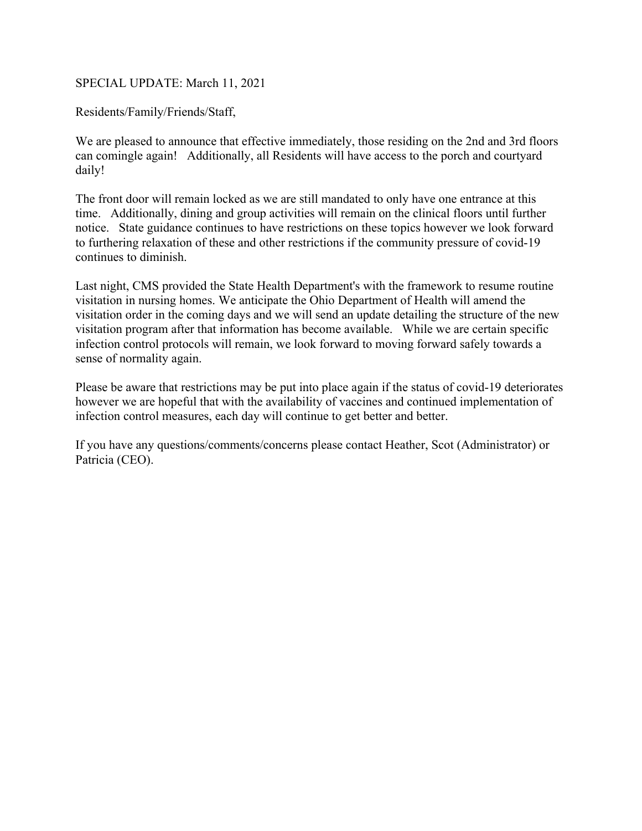#### SPECIAL UPDATE: March 11, 2021

Residents/Family/Friends/Staff,

We are pleased to announce that effective immediately, those residing on the 2nd and 3rd floors can comingle again! Additionally, all Residents will have access to the porch and courtyard daily!

The front door will remain locked as we are still mandated to only have one entrance at this time. Additionally, dining and group activities will remain on the clinical floors until further notice. State guidance continues to have restrictions on these topics however we look forward to furthering relaxation of these and other restrictions if the community pressure of covid-19 continues to diminish.

Last night, CMS provided the State Health Department's with the framework to resume routine visitation in nursing homes. We anticipate the Ohio Department of Health will amend the visitation order in the coming days and we will send an update detailing the structure of the new visitation program after that information has become available. While we are certain specific infection control protocols will remain, we look forward to moving forward safely towards a sense of normality again.

Please be aware that restrictions may be put into place again if the status of covid-19 deteriorates however we are hopeful that with the availability of vaccines and continued implementation of infection control measures, each day will continue to get better and better.

If you have any questions/comments/concerns please contact Heather, Scot (Administrator) or Patricia (CEO).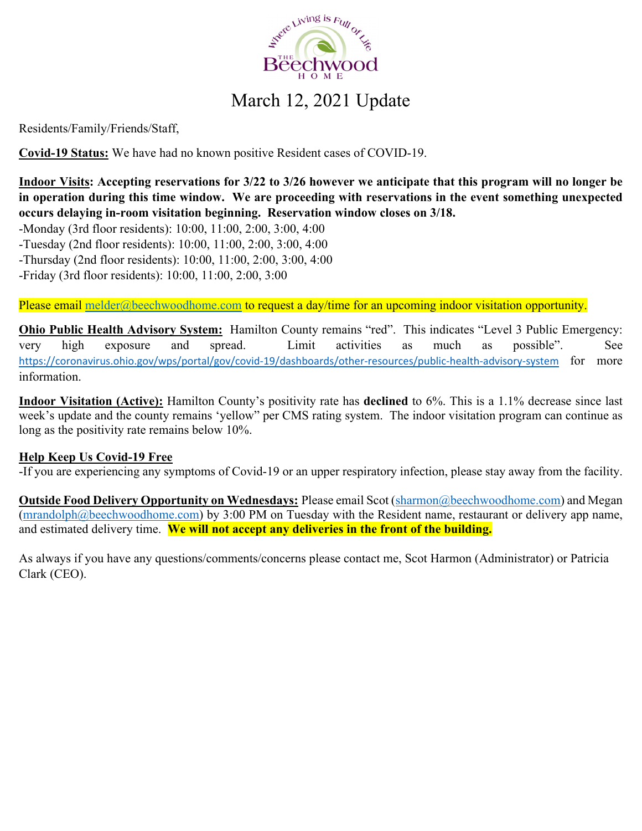

# March 12, 2021 Update

Residents/Family/Friends/Staff,

**Covid-19 Status:** We have had no known positive Resident cases of COVID-19.

**Indoor Visits: Accepting reservations for 3/22 to 3/26 however we anticipate that this program will no longer be in operation during this time window. We are proceeding with reservations in the event something unexpected occurs delaying in-room visitation beginning. Reservation window closes on 3/18.** 

-Monday (3rd floor residents): 10:00, 11:00, 2:00, 3:00, 4:00

-Tuesday (2nd floor residents): 10:00, 11:00, 2:00, 3:00, 4:00

-Thursday (2nd floor residents): 10:00, 11:00, 2:00, 3:00, 4:00

-Friday (3rd floor residents): 10:00, 11:00, 2:00, 3:00

Please email melder@beechwoodhome.com to request a day/time for an upcoming indoor visitation opportunity.

**Ohio Public Health Advisory System:** Hamilton County remains "red". This indicates "Level 3 Public Emergency: very high exposure and spread. Limit activities as much as possible". See https://coronavirus.ohio.gov/wps/portal/gov/covid-19/dashboards/other-resources/public-health-advisory-system for more information.

**Indoor Visitation (Active):** Hamilton County's positivity rate has **declined** to 6%. This is a 1.1% decrease since last week's update and the county remains 'yellow" per CMS rating system. The indoor visitation program can continue as long as the positivity rate remains below 10%.

#### **Help Keep Us Covid-19 Free**

-If you are experiencing any symptoms of Covid-19 or an upper respiratory infection, please stay away from the facility.

**Outside Food Delivery Opportunity on Wednesdays:** Please email Scot (sharmon@beechwoodhome.com) and Megan  $(mrandolph@beechwoodhome.com)$  by 3:00 PM on Tuesday with the Resident name, restaurant or delivery app name, and estimated delivery time. **We will not accept any deliveries in the front of the building.**

As always if you have any questions/comments/concerns please contact me, Scot Harmon (Administrator) or Patricia Clark (CEO).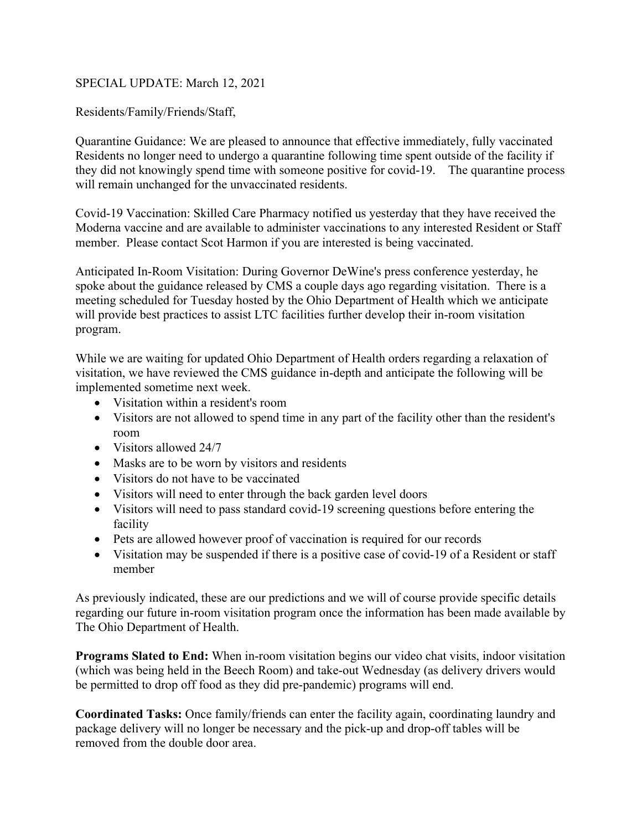#### SPECIAL UPDATE: March 12, 2021

Residents/Family/Friends/Staff,

Quarantine Guidance: We are pleased to announce that effective immediately, fully vaccinated Residents no longer need to undergo a quarantine following time spent outside of the facility if they did not knowingly spend time with someone positive for covid-19. The quarantine process will remain unchanged for the unvaccinated residents.

Covid-19 Vaccination: Skilled Care Pharmacy notified us yesterday that they have received the Moderna vaccine and are available to administer vaccinations to any interested Resident or Staff member. Please contact Scot Harmon if you are interested is being vaccinated.

Anticipated In-Room Visitation: During Governor DeWine's press conference yesterday, he spoke about the guidance released by CMS a couple days ago regarding visitation. There is a meeting scheduled for Tuesday hosted by the Ohio Department of Health which we anticipate will provide best practices to assist LTC facilities further develop their in-room visitation program.

While we are waiting for updated Ohio Department of Health orders regarding a relaxation of visitation, we have reviewed the CMS guidance in-depth and anticipate the following will be implemented sometime next week.

- Visitation within a resident's room
- Visitors are not allowed to spend time in any part of the facility other than the resident's room
- Visitors allowed 24/7
- Masks are to be worn by visitors and residents
- Visitors do not have to be vaccinated
- Visitors will need to enter through the back garden level doors
- Visitors will need to pass standard covid-19 screening questions before entering the facility
- Pets are allowed however proof of vaccination is required for our records
- Visitation may be suspended if there is a positive case of covid-19 of a Resident or staff member

As previously indicated, these are our predictions and we will of course provide specific details regarding our future in-room visitation program once the information has been made available by The Ohio Department of Health.

**Programs Slated to End:** When in-room visitation begins our video chat visits, indoor visitation (which was being held in the Beech Room) and take-out Wednesday (as delivery drivers would be permitted to drop off food as they did pre-pandemic) programs will end.

**Coordinated Tasks:** Once family/friends can enter the facility again, coordinating laundry and package delivery will no longer be necessary and the pick-up and drop-off tables will be removed from the double door area.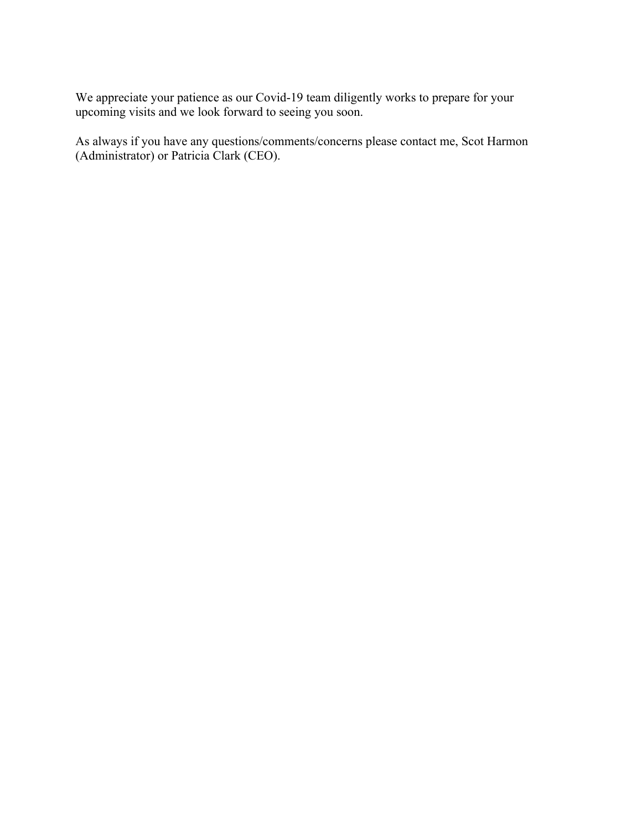We appreciate your patience as our Covid-19 team diligently works to prepare for your upcoming visits and we look forward to seeing you soon.

As always if you have any questions/comments/concerns please contact me, Scot Harmon (Administrator) or Patricia Clark (CEO).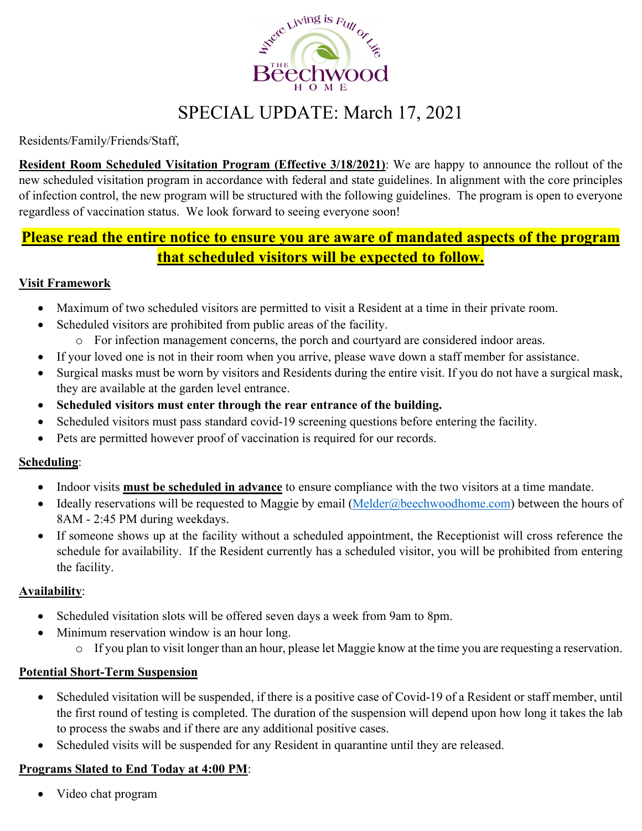

# SPECIAL UPDATE: March 17, 2021

Residents/Family/Friends/Staff,

**Resident Room Scheduled Visitation Program (Effective 3/18/2021)**: We are happy to announce the rollout of the new scheduled visitation program in accordance with federal and state guidelines. In alignment with the core principles of infection control, the new program will be structured with the following guidelines. The program is open to everyone regardless of vaccination status. We look forward to seeing everyone soon!

# **Please read the entire notice to ensure you are aware of mandated aspects of the program that scheduled visitors will be expected to follow.**

# **Visit Framework**

- Maximum of two scheduled visitors are permitted to visit a Resident at a time in their private room.
- Scheduled visitors are prohibited from public areas of the facility.
	- o For infection management concerns, the porch and courtyard are considered indoor areas.
- If your loved one is not in their room when you arrive, please wave down a staff member for assistance.
- Surgical masks must be worn by visitors and Residents during the entire visit. If you do not have a surgical mask, they are available at the garden level entrance.
- **Scheduled visitors must enter through the rear entrance of the building.**
- Scheduled visitors must pass standard covid-19 screening questions before entering the facility.
- Pets are permitted however proof of vaccination is required for our records.

# **Scheduling**:

- Indoor visits **must be scheduled in advance** to ensure compliance with the two visitors at a time mandate.
- Ideally reservations will be requested to Maggie by email (Melder@beechwoodhome.com) between the hours of 8AM - 2:45 PM during weekdays.
- If someone shows up at the facility without a scheduled appointment, the Receptionist will cross reference the schedule for availability. If the Resident currently has a scheduled visitor, you will be prohibited from entering the facility.

# **Availability**:

- Scheduled visitation slots will be offered seven days a week from 9am to 8pm.
- Minimum reservation window is an hour long.
	- o If you plan to visit longer than an hour, please let Maggie know at the time you are requesting a reservation.

# **Potential Short-Term Suspension**

- Scheduled visitation will be suspended, if there is a positive case of Covid-19 of a Resident or staff member, until the first round of testing is completed. The duration of the suspension will depend upon how long it takes the lab to process the swabs and if there are any additional positive cases.
- Scheduled visits will be suspended for any Resident in quarantine until they are released.

# **Programs Slated to End Today at 4:00 PM**:

• Video chat program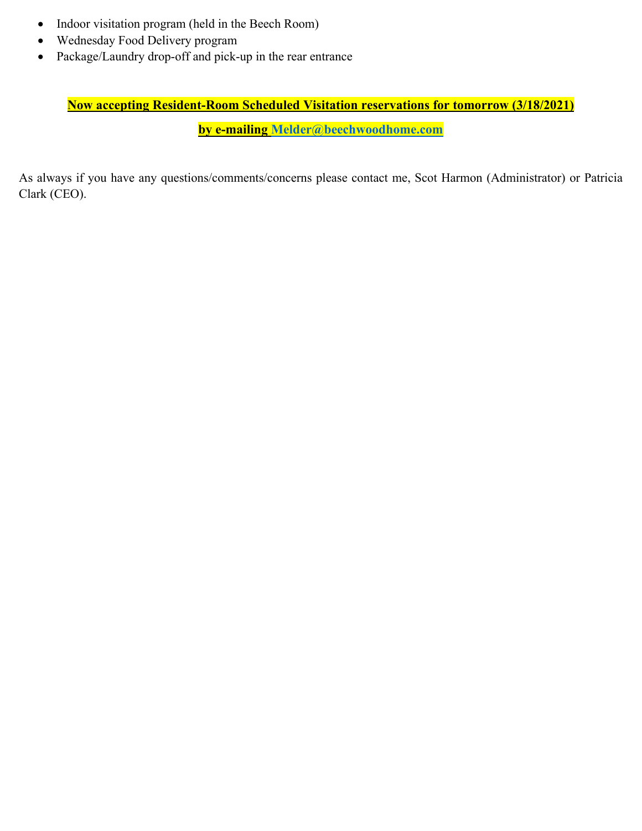- Indoor visitation program (held in the Beech Room)
- Wednesday Food Delivery program
- Package/Laundry drop-off and pick-up in the rear entrance

# **Now accepting Resident-Room Scheduled Visitation reservations for tomorrow (3/18/2021)**

**by e-mailing Melder@beechwoodhome.com**

As always if you have any questions/comments/concerns please contact me, Scot Harmon (Administrator) or Patricia Clark (CEO).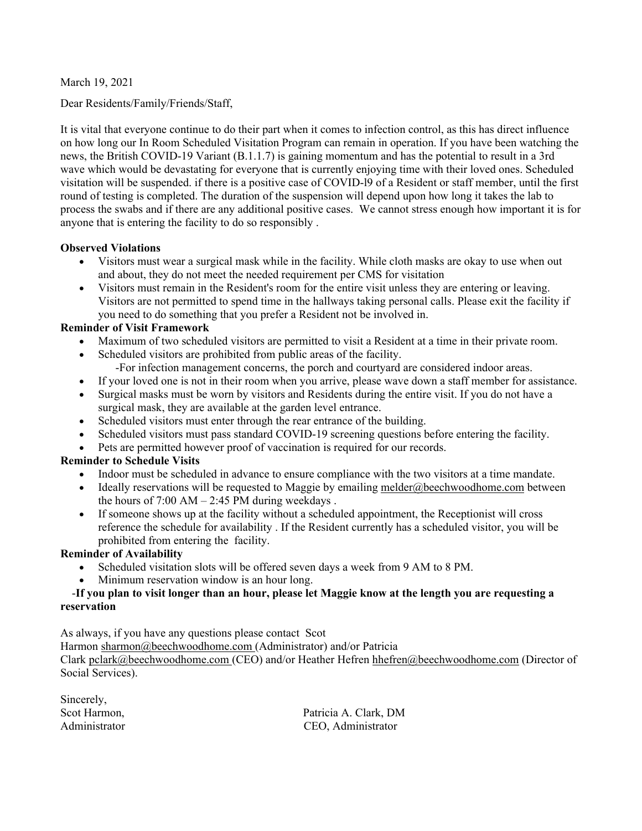March 19, 2021

Dear Residents/Family/Friends/Staff,

It is vital that everyone continue to do their part when it comes to infection control, as this has direct influence on how long our In Room Scheduled Visitation Program can remain in operation. If you have been watching the news, the British COVID-19 Variant (B.1.1.7) is gaining momentum and has the potential to result in a 3rd wave which would be devastating for everyone that is currently enjoying time with their loved ones. Scheduled visitation will be suspended. if there is a positive case of COVID-l9 of a Resident or staff member, until the first round of testing is completed. The duration of the suspension will depend upon how long it takes the lab to process the swabs and if there are any additional positive cases. We cannot stress enough how important it is for anyone that is entering the facility to do so responsibly .

#### **Observed Violations**

- Visitors must wear a surgical mask while in the facility. While cloth masks are okay to use when out and about, they do not meet the needed requirement per CMS for visitation
- Visitors must remain in the Resident's room for the entire visit unless they are entering or leaving. Visitors are not permitted to spend time in the hallways taking personal calls. Please exit the facility if you need to do something that you prefer a Resident not be involved in.

#### **Reminder of Visit Framework**

- Maximum of two scheduled visitors are permitted to visit a Resident at a time in their private room.
- Scheduled visitors are prohibited from public areas of the facility.
	- -For infection management concerns, the porch and courtyard are considered indoor areas.
- If your loved one is not in their room when you arrive, please wave down a staff member for assistance.
- Surgical masks must be worn by visitors and Residents during the entire visit. If you do not have a surgical mask, they are available at the garden level entrance.
- Scheduled visitors must enter through the rear entrance of the building.
- Scheduled visitors must pass standard COVID-19 screening questions before entering the facility.
- Pets are permitted however proof of vaccination is required for our records.

#### **Reminder to Schedule Visits**

- Indoor must be scheduled in advance to ensure compliance with the two visitors at a time mandate.
- $\bullet$  Ideally reservations will be requested to Maggie by emailing melder@beechwoodhome.com between the hours of  $7:00$  AM  $- 2:45$  PM during weekdays.
- If someone shows up at the facility without a scheduled appointment, the Receptionist will cross reference the schedule for availability . If the Resident currently has a scheduled visitor, you will be prohibited from entering the facility.

#### **Reminder of Availability**

- Scheduled visitation slots will be offered seven days a week from 9 AM to 8 PM.
- Minimum reservation window is an hour long.

#### -**If you plan to visit longer than an hour, please let Maggie know at the length you are requesting a reservation**

As always, if you have any questions please contact Scot

Harmon sharmon@beechwoodhome.com (Administrator) and/or Patricia

Clark pclark@beechwoodhome.com (CEO) and/or Heather Hefren hhefren@beechwoodhome.com (Director of Social Services).

| Sincerely,    |                 |
|---------------|-----------------|
| Scot Harmon,  | Patr            |
| Administrator | CE <sub>C</sub> |

icia A. Clark, DM Administrator CEO, Administrator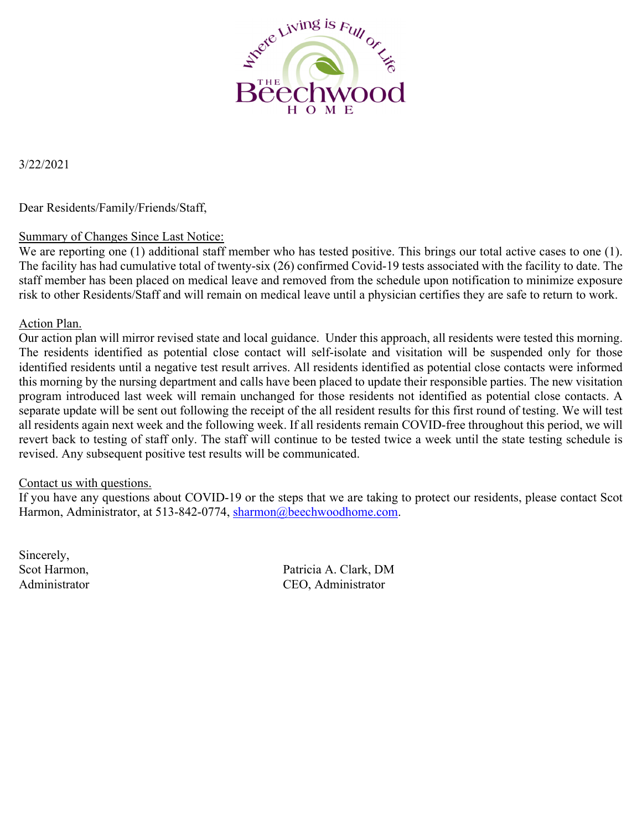

3/22/2021

Dear Residents/Family/Friends/Staff,

## Summary of Changes Since Last Notice:

We are reporting one (1) additional staff member who has tested positive. This brings our total active cases to one (1). The facility has had cumulative total of twenty-six (26) confirmed Covid-19 tests associated with the facility to date. The staff member has been placed on medical leave and removed from the schedule upon notification to minimize exposure risk to other Residents/Staff and will remain on medical leave until a physician certifies they are safe to return to work.

#### Action Plan.

Our action plan will mirror revised state and local guidance. Under this approach, all residents were tested this morning. The residents identified as potential close contact will self-isolate and visitation will be suspended only for those identified residents until a negative test result arrives. All residents identified as potential close contacts were informed this morning by the nursing department and calls have been placed to update their responsible parties. The new visitation program introduced last week will remain unchanged for those residents not identified as potential close contacts. A separate update will be sent out following the receipt of the all resident results for this first round of testing. We will test all residents again next week and the following week. If all residents remain COVID-free throughout this period, we will revert back to testing of staff only. The staff will continue to be tested twice a week until the state testing schedule is revised. Any subsequent positive test results will be communicated.

#### Contact us with questions.

If you have any questions about COVID-19 or the steps that we are taking to protect our residents, please contact Scot Harmon, Administrator, at 513-842-0774, sharmon@beechwoodhome.com.

Sincerely,

Scot Harmon, Patricia A. Clark, DM Administrator CEO, Administrator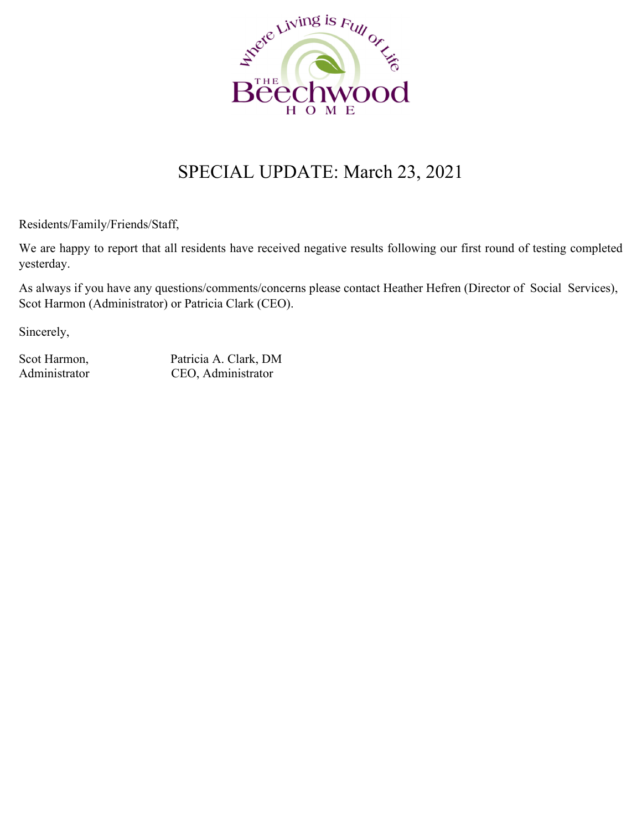

# SPECIAL UPDATE: March 23, 2021

Residents/Family/Friends/Staff,

We are happy to report that all residents have received negative results following our first round of testing completed yesterday.

As always if you have any questions/comments/concerns please contact Heather Hefren (Director of Social Services), Scot Harmon (Administrator) or Patricia Clark (CEO).

Sincerely,

Scot Harmon, Patricia A. Clark, DM Administrator CEO, Administrator